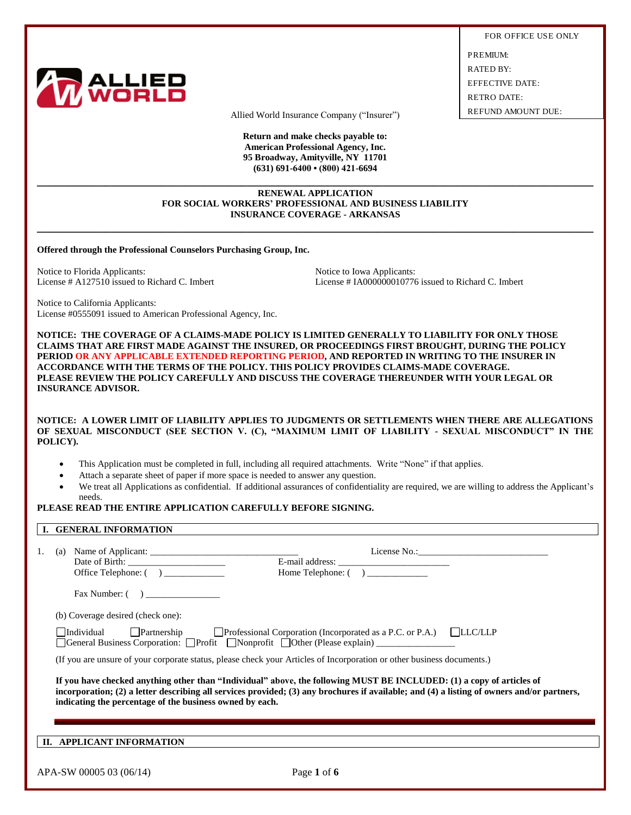

FOR OFFICE USE ONLY PREMIUM: RATED BY: EFFECTIVE DATE: RETRO DATE:

Allied World Insurance Company ("Insurer") REFUND AMOUNT DUE:

**Return and make checks payable to: American Professional Agency, Inc. 95 Broadway, Amityville, NY 11701 (631) 691-6400 • (800) 421-6694**

#### **RENEWAL APPLICATION FOR SOCIAL WORKERS' PROFESSIONAL AND BUSINESS LIABILITY INSURANCE COVERAGE - ARKANSAS**

**\_\_\_\_\_\_\_\_\_\_\_\_\_\_\_\_\_\_\_\_\_\_\_\_\_\_\_\_\_\_\_\_\_\_\_\_\_\_\_\_\_\_\_\_\_\_\_\_\_\_\_\_\_\_\_\_\_\_\_\_\_\_\_\_\_\_\_\_\_\_\_\_\_\_\_\_\_\_\_\_\_\_\_\_\_\_\_\_\_\_**

**\_\_\_\_\_\_\_\_\_\_\_\_\_\_\_\_\_\_\_\_\_\_\_\_\_\_\_\_\_\_\_\_\_\_\_\_\_\_\_\_\_\_\_\_\_\_\_\_\_\_\_\_\_\_\_\_\_\_\_\_\_\_\_\_\_\_\_\_\_\_\_\_\_\_\_\_\_\_\_\_\_\_\_\_\_\_\_\_\_\_**

**Offered through the Professional Counselors Purchasing Group, Inc.**

Notice to Florida Applicants: Notice to Iowa Applicants: Notice to Iowa Applicants:

License # A127510 issued to Richard C. Imbert License # IA000000010776 issued to Richard C. Imbert

Notice to California Applicants: License #0555091 issued to American Professional Agency, Inc.

**NOTICE: THE COVERAGE OF A CLAIMS-MADE POLICY IS LIMITED GENERALLY TO LIABILITY FOR ONLY THOSE CLAIMS THAT ARE FIRST MADE AGAINST THE INSURED, OR PROCEEDINGS FIRST BROUGHT, DURING THE POLICY PERIOD OR ANY APPLICABLE EXTENDED REPORTING PERIOD, AND REPORTED IN WRITING TO THE INSURER IN ACCORDANCE WITH THE TERMS OF THE POLICY. THIS POLICY PROVIDES CLAIMS-MADE COVERAGE. PLEASE REVIEW THE POLICY CAREFULLY AND DISCUSS THE COVERAGE THEREUNDER WITH YOUR LEGAL OR INSURANCE ADVISOR.** 

**NOTICE: A LOWER LIMIT OF LIABILITY APPLIES TO JUDGMENTS OR SETTLEMENTS WHEN THERE ARE ALLEGATIONS OF SEXUAL MISCONDUCT (SEE SECTION V. (C), "MAXIMUM LIMIT OF LIABILITY - SEXUAL MISCONDUCT" IN THE POLICY).**

- This Application must be completed in full, including all required attachments. Write "None" if that applies.
- Attach a separate sheet of paper if more space is needed to answer any question.
- We treat all Applications as confidential. If additional assurances of confidentiality are required, we are willing to address the Applicant's needs.

# **PLEASE READ THE ENTIRE APPLICATION CAREFULLY BEFORE SIGNING.**

## **I. GENERAL INFORMATION**

| 1. | Office Telephone: ()                                                                                                                                                                                  | Home Telephone: ()                                                                                                                                                                                                                                                  |
|----|-------------------------------------------------------------------------------------------------------------------------------------------------------------------------------------------------------|---------------------------------------------------------------------------------------------------------------------------------------------------------------------------------------------------------------------------------------------------------------------|
|    | Fax Number: ()                                                                                                                                                                                        |                                                                                                                                                                                                                                                                     |
|    | (b) Coverage desired (check one):                                                                                                                                                                     |                                                                                                                                                                                                                                                                     |
|    | $\Box$ Individual $\Box$ Partnership $\Box$ Professional Corporation (Incorporated as a P.C. or P.A.) $\Box$ LLC/LLP<br>□ General Business Corporation: □ Profit □ Nonprofit □ Other (Please explain) |                                                                                                                                                                                                                                                                     |
|    | (If you are unsure of your corporate status, please check your Articles of Incorporation or other business documents.)                                                                                |                                                                                                                                                                                                                                                                     |
|    | indicating the percentage of the business owned by each.                                                                                                                                              | If you have checked anything other than "Individual" above, the following MUST BE INCLUDED: (1) a copy of articles of<br>incorporation; (2) a letter describing all services provided; (3) any brochures if available; and (4) a listing of owners and/or partners, |
|    | II. APPLICANT INFORMATION                                                                                                                                                                             |                                                                                                                                                                                                                                                                     |
|    | APA-SW 00005 03 (06/14)                                                                                                                                                                               | Page 1 of 6                                                                                                                                                                                                                                                         |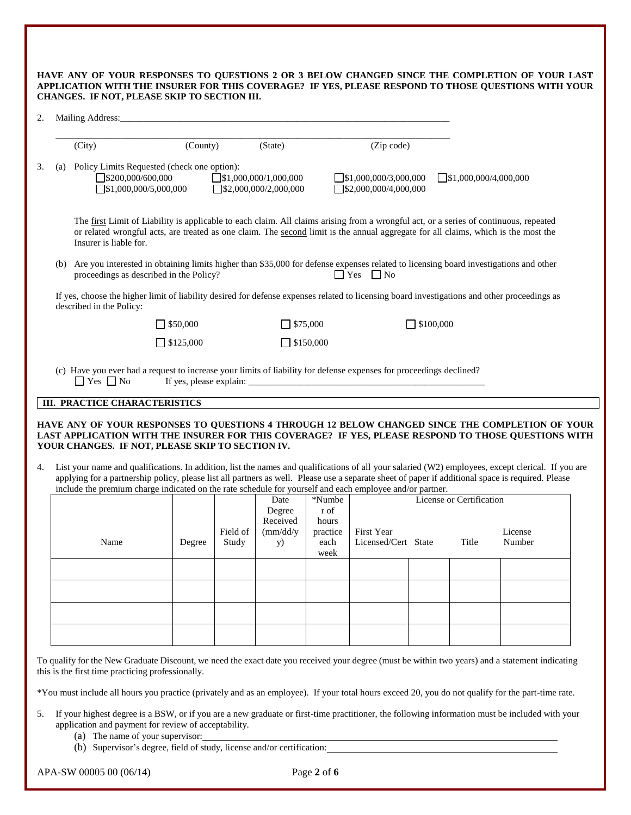|                                                     |  | HAVE ANY OF YOUR RESPONSES TO OUESTIONS 2 OR 3 BELOW CHANGED SINCE THE COMPLETION OF YOUR LAST      |
|-----------------------------------------------------|--|-----------------------------------------------------------------------------------------------------|
|                                                     |  | APPLICATION WITH THE INSURER FOR THIS COVERAGE? IF YES, PLEASE RESPOND TO THOSE OUESTIONS WITH YOUR |
| <b>CHANGES. IF NOT. PLEASE SKIP TO SECTION III.</b> |  |                                                                                                     |

| (City)                   | (County)                                                                                                            | (State)                                                      | (Zip code)                                                   |                                                                                                                                                                                                                                                                             |
|--------------------------|---------------------------------------------------------------------------------------------------------------------|--------------------------------------------------------------|--------------------------------------------------------------|-----------------------------------------------------------------------------------------------------------------------------------------------------------------------------------------------------------------------------------------------------------------------------|
| (a)                      | Policy Limits Requested (check one option):<br>$\Box$ \$200,000/600,000<br>$\sqrt{$1,000,000/5,000,000}$            | $\Box$ \$1,000,000/1,000,000<br>$\Box$ \$2,000,000/2,000,000 | $\Box$ \$1,000,000/3,000,000<br>$\Box$ \$2,000,000/4,000,000 | 51,000,000/4,000,000                                                                                                                                                                                                                                                        |
| Insurer is liable for.   |                                                                                                                     |                                                              |                                                              | The first Limit of Liability is applicable to each claim. All claims arising from a wrongful act, or a series of continuous, repeated<br>or related wrongful acts, are treated as one claim. The second limit is the annual aggregate for all claims, which is the most the |
| (b)                      | proceedings as described in the Policy?                                                                             |                                                              | $\Box$ Yes $\Box$ No                                         | Are you interested in obtaining limits higher than \$35,000 for defense expenses related to licensing board investigations and other                                                                                                                                        |
| described in the Policy: |                                                                                                                     |                                                              |                                                              | If yes, choose the higher limit of liability desired for defense expenses related to licensing board investigations and other proceedings as                                                                                                                                |
|                          | $\Box$ \$50,000                                                                                                     | $\Box$ \$75,000                                              | $\Box$ \$100,000                                             |                                                                                                                                                                                                                                                                             |
|                          | $\Box$ \$125,000                                                                                                    | $\Box$ \$150,000                                             |                                                              |                                                                                                                                                                                                                                                                             |
| $\Box$ Yes $\Box$ No     | (c) Have you ever had a request to increase your limits of liability for defense expenses for proceedings declined? |                                                              |                                                              |                                                                                                                                                                                                                                                                             |

#### **HAVE ANY OF YOUR RESPONSES TO QUESTIONS 4 THROUGH 12 BELOW CHANGED SINCE THE COMPLETION OF YOUR LAST APPLICATION WITH THE INSURER FOR THIS COVERAGE? IF YES, PLEASE RESPOND TO THOSE QUESTIONS WITH YOUR CHANGES. IF NOT, PLEASE SKIP TO SECTION IV.**

4. List your name and qualifications. In addition, list the names and qualifications of all your salaried (W2) employees, except clerical. If you are applying for a partnership policy, please list all partners as well. Please use a separate sheet of paper if additional space is required. Please include the premium charge indicated on the rate schedule for yourself and each employee and/or partner.

| merado ano premiam enargo mareated on ano nato benedare ror yourben and each emproyee and or partner. |        |          | Date          | *Numbe   |                     | License or Certification |         |
|-------------------------------------------------------------------------------------------------------|--------|----------|---------------|----------|---------------------|--------------------------|---------|
|                                                                                                       |        |          | Degree        | r of     |                     |                          |         |
|                                                                                                       |        |          | Received      | hours    |                     |                          |         |
|                                                                                                       |        | Field of | $\frac{m}{d}$ | practice | First Year          |                          | License |
| Name                                                                                                  | Degree | Study    | <b>y</b> )    | each     | Licensed/Cert State | Title                    | Number  |
|                                                                                                       |        |          |               | week     |                     |                          |         |
|                                                                                                       |        |          |               |          |                     |                          |         |
|                                                                                                       |        |          |               |          |                     |                          |         |
|                                                                                                       |        |          |               |          |                     |                          |         |
|                                                                                                       |        |          |               |          |                     |                          |         |
|                                                                                                       |        |          |               |          |                     |                          |         |
|                                                                                                       |        |          |               |          |                     |                          |         |
|                                                                                                       |        |          |               |          |                     |                          |         |
|                                                                                                       |        |          |               |          |                     |                          |         |

To qualify for the New Graduate Discount, we need the exact date you received your degree (must be within two years) and a statement indicating this is the first time practicing professionally.

\*You must include all hours you practice (privately and as an employee). If your total hours exceed 20, you do not qualify for the part-time rate.

- 5. If your highest degree is a BSW, or if you are a new graduate or first-time practitioner, the following information must be included with your application and payment for review of acceptability.
	- (a) The name of your supervisor:
	- (b) Supervisor's degree, field of study, license and/or certification: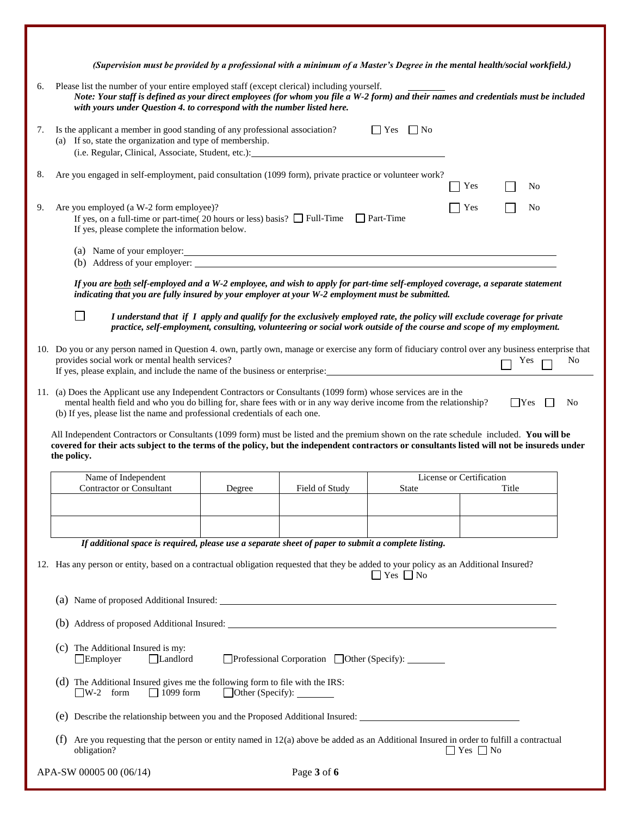|    | (Supervision must be provided by a professional with a minimum of a Master's Degree in the mental health/social workfield.)                                                                                                                                                                                         |                                |                |                                                                                                                                                                                                                                                  |                          |            |    |
|----|---------------------------------------------------------------------------------------------------------------------------------------------------------------------------------------------------------------------------------------------------------------------------------------------------------------------|--------------------------------|----------------|--------------------------------------------------------------------------------------------------------------------------------------------------------------------------------------------------------------------------------------------------|--------------------------|------------|----|
| 6. | Please list the number of your entire employed staff (except clerical) including yourself.<br>Note: Your staff is defined as your direct employees (for whom you file a W-2 form) and their names and credentials must be included<br>with yours under Question 4. to correspond with the number listed here.       |                                |                |                                                                                                                                                                                                                                                  |                          |            |    |
| 7. | Is the applicant a member in good standing of any professional association?<br>(a) If so, state the organization and type of membership.<br>(i.e. Regular, Clinical, Associate, Student, etc.):                                                                                                                     |                                |                | $\Box$ Yes $\Box$ No                                                                                                                                                                                                                             |                          |            |    |
| 8. | Are you engaged in self-employment, paid consultation (1099 form), private practice or volunteer work?                                                                                                                                                                                                              |                                |                |                                                                                                                                                                                                                                                  | Yes                      | No         |    |
| 9. | Are you employed (a W-2 form employee)?<br>If yes, on a full-time or part-time( 20 hours or less) basis? $\Box$ Full-Time $\Box$ Part-Time<br>If yes, please complete the information below.                                                                                                                        |                                |                |                                                                                                                                                                                                                                                  | Yes                      | No         |    |
|    | (a) Name of your employer:<br>(b) Address of your employer:                                                                                                                                                                                                                                                         |                                |                |                                                                                                                                                                                                                                                  |                          |            |    |
|    | If you are both self-employed and a W-2 employee, and wish to apply for part-time self-employed coverage, a separate statement<br>indicating that you are fully insured by your employer at your W-2 employment must be submitted.                                                                                  |                                |                |                                                                                                                                                                                                                                                  |                          |            |    |
|    |                                                                                                                                                                                                                                                                                                                     |                                |                | I understand that if I apply and qualify for the exclusively employed rate, the policy will exclude coverage for private<br>practice, self-employment, consulting, volunteering or social work outside of the course and scope of my employment. |                          |            |    |
|    | 10. Do you or any person named in Question 4. own, partly own, manage or exercise any form of fiduciary control over any business enterprise that<br>provides social work or mental health services?<br>If yes, please explain, and include the name of the business or enterprise:                                 |                                |                |                                                                                                                                                                                                                                                  |                          | Yes        | No |
|    | 11. (a) Does the Applicant use any Independent Contractors or Consultants (1099 form) whose services are in the<br>mental health field and who you do billing for, share fees with or in any way derive income from the relationship?<br>(b) If yes, please list the name and professional credentials of each one. |                                |                |                                                                                                                                                                                                                                                  |                          | $\Box$ Yes | No |
|    | All Independent Contractors or Consultants (1099 form) must be listed and the premium shown on the rate schedule included. You will be<br>covered for their acts subject to the terms of the policy, but the independent contractors or consultants listed will not be insureds under<br>the policy.                |                                |                |                                                                                                                                                                                                                                                  |                          |            |    |
|    | Name of Independent<br><b>Contractor or Consultant</b>                                                                                                                                                                                                                                                              | Degree                         | Field of Study | State                                                                                                                                                                                                                                            | License or Certification | Title      |    |
|    |                                                                                                                                                                                                                                                                                                                     |                                |                |                                                                                                                                                                                                                                                  |                          |            |    |
|    | If additional space is required, please use a separate sheet of paper to submit a complete listing.                                                                                                                                                                                                                 |                                |                |                                                                                                                                                                                                                                                  |                          |            |    |
|    | 12. Has any person or entity, based on a contractual obligation requested that they be added to your policy as an Additional Insured?<br>$\Box$ Yes $\Box$ No                                                                                                                                                       |                                |                |                                                                                                                                                                                                                                                  |                          |            |    |
|    |                                                                                                                                                                                                                                                                                                                     |                                |                |                                                                                                                                                                                                                                                  |                          |            |    |
|    |                                                                                                                                                                                                                                                                                                                     |                                |                |                                                                                                                                                                                                                                                  |                          |            |    |
|    | (c) The Additional Insured is my:<br>$\Box$ Employer<br>Landlord                                                                                                                                                                                                                                                    |                                |                | □Professional Corporation □ Other (Specify):                                                                                                                                                                                                     |                          |            |    |
|    | (d) The Additional Insured gives me the following form to file with the IRS:<br>$\neg$ W-2 form<br>$\Box$ 1099 form                                                                                                                                                                                                 | $\Box$ Other (Specify): $\Box$ |                |                                                                                                                                                                                                                                                  |                          |            |    |
|    | (e) Describe the relationship between you and the Proposed Additional Insured:                                                                                                                                                                                                                                      |                                |                |                                                                                                                                                                                                                                                  |                          |            |    |
|    | Are you requesting that the person or entity named in 12(a) above be added as an Additional Insured in order to fulfill a contractual<br>(f)<br>obligation?                                                                                                                                                         |                                |                |                                                                                                                                                                                                                                                  | $\Box$ Yes $\Box$ No     |            |    |
|    | APA-SW 00005 00 (06/14)                                                                                                                                                                                                                                                                                             |                                | Page 3 of 6    |                                                                                                                                                                                                                                                  |                          |            |    |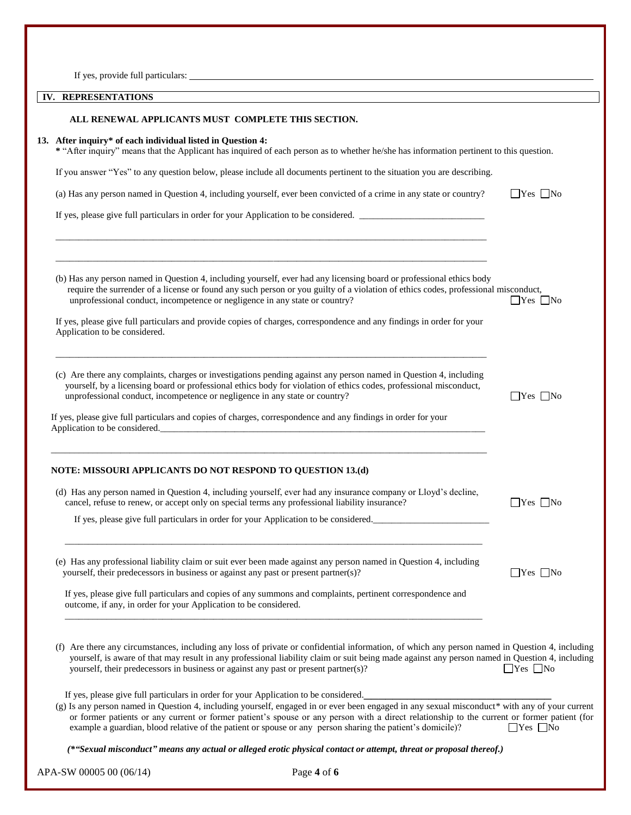|  | If yes, provide full particulars: |
|--|-----------------------------------|
|  |                                   |

| <b>REPRESENTATIONS</b><br>IV. |  |
|-------------------------------|--|
|-------------------------------|--|

| IV. REPRESENTATIONS                                                                                                                                                                                                                                                                                                                                                                                                                                                                                |                      |
|----------------------------------------------------------------------------------------------------------------------------------------------------------------------------------------------------------------------------------------------------------------------------------------------------------------------------------------------------------------------------------------------------------------------------------------------------------------------------------------------------|----------------------|
| ALL RENEWAL APPLICANTS MUST COMPLETE THIS SECTION.                                                                                                                                                                                                                                                                                                                                                                                                                                                 |                      |
| 13. After inquiry* of each individual listed in Question 4:<br>* "After inquiry" means that the Applicant has inquired of each person as to whether he/she has information pertinent to this question.                                                                                                                                                                                                                                                                                             |                      |
| If you answer "Yes" to any question below, please include all documents pertinent to the situation you are describing.                                                                                                                                                                                                                                                                                                                                                                             |                      |
| (a) Has any person named in Question 4, including yourself, ever been convicted of a crime in any state or country?                                                                                                                                                                                                                                                                                                                                                                                | $\Box$ Yes $\Box$ No |
| If yes, please give full particulars in order for your Application to be considered.                                                                                                                                                                                                                                                                                                                                                                                                               |                      |
| (b) Has any person named in Question 4, including yourself, ever had any licensing board or professional ethics body<br>require the surrender of a license or found any such person or you guilty of a violation of ethics codes, professional misconduct,<br>unprofessional conduct, incompetence or negligence in any state or country?                                                                                                                                                          | $\Box$ Yes $\Box$ No |
| If yes, please give full particulars and provide copies of charges, correspondence and any findings in order for your<br>Application to be considered.                                                                                                                                                                                                                                                                                                                                             |                      |
| (c) Are there any complaints, charges or investigations pending against any person named in Question 4, including<br>yourself, by a licensing board or professional ethics body for violation of ethics codes, professional misconduct,<br>unprofessional conduct, incompetence or negligence in any state or country?<br>If yes, please give full particulars and copies of charges, correspondence and any findings in order for your<br>Application to be considered.                           | $\Box$ Yes $\Box$ No |
| NOTE: MISSOURI APPLICANTS DO NOT RESPOND TO QUESTION 13.(d)                                                                                                                                                                                                                                                                                                                                                                                                                                        |                      |
| (d) Has any person named in Question 4, including yourself, ever had any insurance company or Lloyd's decline,<br>cancel, refuse to renew, or accept only on special terms any professional liability insurance?                                                                                                                                                                                                                                                                                   | $\Box$ Yes $\Box$ No |
| If yes, please give full particulars in order for your Application to be considered.                                                                                                                                                                                                                                                                                                                                                                                                               |                      |
| (e) Has any professional liability claim or suit ever been made against any person named in Question 4, including<br>yourself, their predecessors in business or against any past or present partner(s)?                                                                                                                                                                                                                                                                                           | $\Box$ Yes $\Box$ No |
| If yes, please give full particulars and copies of any summons and complaints, pertinent correspondence and<br>outcome, if any, in order for your Application to be considered.                                                                                                                                                                                                                                                                                                                    |                      |
| (f) Are there any circumstances, including any loss of private or confidential information, of which any person named in Question 4, including<br>yourself, is aware of that may result in any professional liability claim or suit being made against any person named in Question 4, including<br>yourself, their predecessors in business or against any past or present partner(s)?                                                                                                            | <b>No</b> No         |
| If yes, please give full particulars in order for your Application to be considered.<br>(g) Is any person named in Question 4, including yourself, engaged in or ever been engaged in any sexual misconduct* with any of your current<br>or former patients or any current or former patient's spouse or any person with a direct relationship to the current or former patient (for<br>example a guardian, blood relative of the patient or spouse or any person sharing the patient's domicile)? | $\Box$ Yes $\Box$ No |
| (*"Sexual misconduct" means any actual or alleged erotic physical contact or attempt, threat or proposal thereof.)                                                                                                                                                                                                                                                                                                                                                                                 |                      |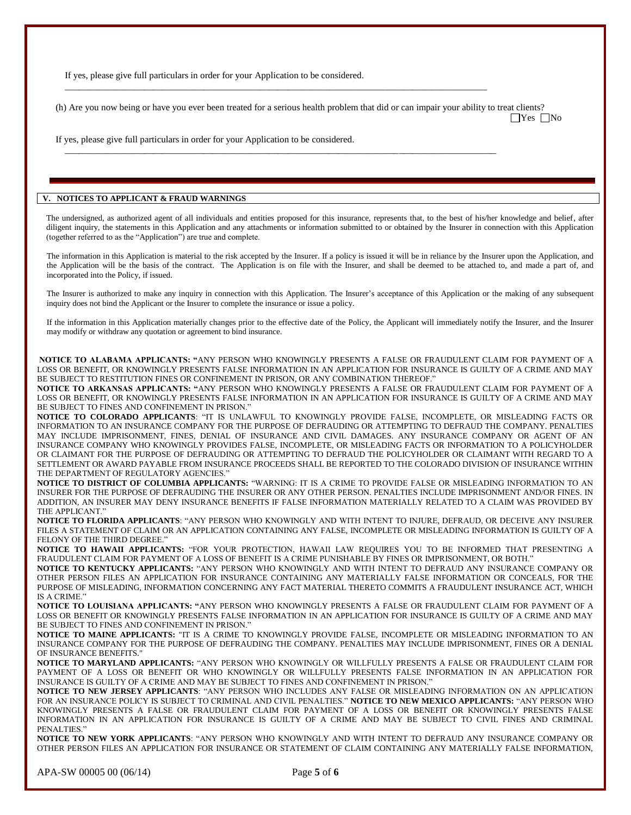If yes, please give full particulars in order for your Application to be considered.

(h) Are you now being or have you ever been treated for a serious health problem that did or can impair your ability to treat clients?  $\Box$ Yes  $\Box$ No

 $\Box$ 

 $\overline{a}$  , and the state of the state of the state of the state of the state of the state of the state of the state of the state of the state of the state of the state of the state of the state of the state of the state o

If yes, please give full particulars in order for your Application to be considered.

## **V. NOTICES TO APPLICANT & FRAUD WARNINGS**

The undersigned, as authorized agent of all individuals and entities proposed for this insurance, represents that, to the best of his/her knowledge and belief, after diligent inquiry, the statements in this Application and any attachments or information submitted to or obtained by the Insurer in connection with this Application (together referred to as the "Application") are true and complete.

The information in this Application is material to the risk accepted by the Insurer. If a policy is issued it will be in reliance by the Insurer upon the Application, and the Application will be the basis of the contract. The Application is on file with the Insurer, and shall be deemed to be attached to, and made a part of, and incorporated into the Policy, if issued.

The Insurer is authorized to make any inquiry in connection with this Application. The Insurer's acceptance of this Application or the making of any subsequent inquiry does not bind the Applicant or the Insurer to complete the insurance or issue a policy.

If the information in this Application materially changes prior to the effective date of the Policy, the Applicant will immediately notify the Insurer, and the Insurer may modify or withdraw any quotation or agreement to bind insurance.

**NOTICE TO ALABAMA APPLICANTS: "**ANY PERSON WHO KNOWINGLY PRESENTS A FALSE OR FRAUDULENT CLAIM FOR PAYMENT OF A LOSS OR BENEFIT, OR KNOWINGLY PRESENTS FALSE INFORMATION IN AN APPLICATION FOR INSURANCE IS GUILTY OF A CRIME AND MAY BE SUBJECT TO RESTITUTION FINES OR CONFINEMENT IN PRISON, OR ANY COMBINATION THEREOF."

**NOTICE TO ARKANSAS APPLICANTS: "**ANY PERSON WHO KNOWINGLY PRESENTS A FALSE OR FRAUDULENT CLAIM FOR PAYMENT OF A LOSS OR BENEFIT, OR KNOWINGLY PRESENTS FALSE INFORMATION IN AN APPLICATION FOR INSURANCE IS GUILTY OF A CRIME AND MAY BE SUBJECT TO FINES AND CONFINEMENT IN PRISON.'

**NOTICE TO COLORADO APPLICANTS**: "IT IS UNLAWFUL TO KNOWINGLY PROVIDE FALSE, INCOMPLETE, OR MISLEADING FACTS OR INFORMATION TO AN INSURANCE COMPANY FOR THE PURPOSE OF DEFRAUDING OR ATTEMPTING TO DEFRAUD THE COMPANY. PENALTIES MAY INCLUDE IMPRISONMENT, FINES, DENIAL OF INSURANCE AND CIVIL DAMAGES. ANY INSURANCE COMPANY OR AGENT OF AN INSURANCE COMPANY WHO KNOWINGLY PROVIDES FALSE, INCOMPLETE, OR MISLEADING FACTS OR INFORMATION TO A POLICYHOLDER OR CLAIMANT FOR THE PURPOSE OF DEFRAUDING OR ATTEMPTING TO DEFRAUD THE POLICYHOLDER OR CLAIMANT WITH REGARD TO A SETTLEMENT OR AWARD PAYABLE FROM INSURANCE PROCEEDS SHALL BE REPORTED TO THE COLORADO DIVISION OF INSURANCE WITHIN THE DEPARTMENT OF REGULATORY AGENCIES.'

**NOTICE TO DISTRICT OF COLUMBIA APPLICANTS:** "WARNING: IT IS A CRIME TO PROVIDE FALSE OR MISLEADING INFORMATION TO AN INSURER FOR THE PURPOSE OF DEFRAUDING THE INSURER OR ANY OTHER PERSON. PENALTIES INCLUDE IMPRISONMENT AND/OR FINES. IN ADDITION, AN INSURER MAY DENY INSURANCE BENEFITS IF FALSE INFORMATION MATERIALLY RELATED TO A CLAIM WAS PROVIDED BY THE APPLICANT."

**NOTICE TO FLORIDA APPLICANTS**: "ANY PERSON WHO KNOWINGLY AND WITH INTENT TO INJURE, DEFRAUD, OR DECEIVE ANY INSURER FILES A STATEMENT OF CLAIM OR AN APPLICATION CONTAINING ANY FALSE, INCOMPLETE OR MISLEADING INFORMATION IS GUILTY OF A FELONY OF THE THIRD DEGREE."

**NOTICE TO HAWAII APPLICANTS:** "FOR YOUR PROTECTION, HAWAII LAW REQUIRES YOU TO BE INFORMED THAT PRESENTING A FRAUDULENT CLAIM FOR PAYMENT OF A LOSS OF BENEFIT IS A CRIME PUNISHABLE BY FINES OR IMPRISONMENT, OR BOTH."

**NOTICE TO KENTUCKY APPLICANTS:** "ANY PERSON WHO KNOWINGLY AND WITH INTENT TO DEFRAUD ANY INSURANCE COMPANY OR OTHER PERSON FILES AN APPLICATION FOR INSURANCE CONTAINING ANY MATERIALLY FALSE INFORMATION OR CONCEALS, FOR THE PURPOSE OF MISLEADING, INFORMATION CONCERNING ANY FACT MATERIAL THERETO COMMITS A FRAUDULENT INSURANCE ACT, WHICH IS A CRIME."

**NOTICE TO LOUISIANA APPLICANTS: "**ANY PERSON WHO KNOWINGLY PRESENTS A FALSE OR FRAUDULENT CLAIM FOR PAYMENT OF A LOSS OR BENEFIT OR KNOWINGLY PRESENTS FALSE INFORMATION IN AN APPLICATION FOR INSURANCE IS GUILTY OF A CRIME AND MAY BE SUBJECT TO FINES AND CONFINEMENT IN PRISON."

**NOTICE TO MAINE APPLICANTS:** "IT IS A CRIME TO KNOWINGLY PROVIDE FALSE, INCOMPLETE OR MISLEADING INFORMATION TO AN INSURANCE COMPANY FOR THE PURPOSE OF DEFRAUDING THE COMPANY. PENALTIES MAY INCLUDE IMPRISONMENT, FINES OR A DENIAL OF INSURANCE BENEFITS."

**NOTICE TO MARYLAND APPLICANTS:** "ANY PERSON WHO KNOWINGLY OR WILLFULLY PRESENTS A FALSE OR FRAUDULENT CLAIM FOR PAYMENT OF A LOSS OR BENEFIT OR WHO KNOWINGLY OR WILLFULLY PRESENTS FALSE INFORMATION IN AN APPLICATION FOR INSURANCE IS GUILTY OF A CRIME AND MAY BE SUBJECT TO FINES AND CONFINEMENT IN PRISON."

**NOTICE TO NEW JERSEY APPLICANTS**: "ANY PERSON WHO INCLUDES ANY FALSE OR MISLEADING INFORMATION ON AN APPLICATION FOR AN INSURANCE POLICY IS SUBJECT TO CRIMINAL AND CIVIL PENALTIES." **NOTICE TO NEW MEXICO APPLICANTS:** "ANY PERSON WHO KNOWINGLY PRESENTS A FALSE OR FRAUDULENT CLAIM FOR PAYMENT OF A LOSS OR BENEFIT OR KNOWINGLY PRESENTS FALSE INFORMATION IN AN APPLICATION FOR INSURANCE IS GUILTY OF A CRIME AND MAY BE SUBJECT TO CIVIL FINES AND CRIMINAL PENALTIES."

**NOTICE TO NEW YORK APPLICANTS**: "ANY PERSON WHO KNOWINGLY AND WITH INTENT TO DEFRAUD ANY INSURANCE COMPANY OR OTHER PERSON FILES AN APPLICATION FOR INSURANCE OR STATEMENT OF CLAIM CONTAINING ANY MATERIALLY FALSE INFORMATION,